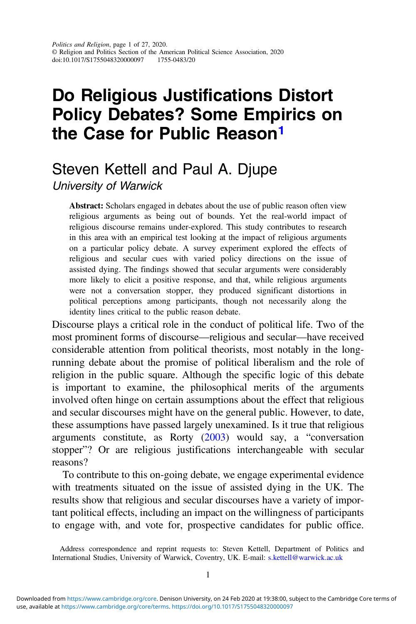# Do Religious Justifications Distort Policy Debates? Some Empirics on the Case for Public Reason<sup>[1](#page-17-0)</sup>

# Steven Kettell and Paul A. Djupe University of Warwick

Abstract: Scholars engaged in debates about the use of public reason often view religious arguments as being out of bounds. Yet the real-world impact of religious discourse remains under-explored. This study contributes to research in this area with an empirical test looking at the impact of religious arguments on a particular policy debate. A survey experiment explored the effects of religious and secular cues with varied policy directions on the issue of assisted dying. The findings showed that secular arguments were considerably more likely to elicit a positive response, and that, while religious arguments were not a conversation stopper, they produced significant distortions in political perceptions among participants, though not necessarily along the identity lines critical to the public reason debate.

Discourse plays a critical role in the conduct of political life. Two of the most prominent forms of discourse—religious and secular—have received considerable attention from political theorists, most notably in the longrunning debate about the promise of political liberalism and the role of religion in the public square. Although the specific logic of this debate is important to examine, the philosophical merits of the arguments involved often hinge on certain assumptions about the effect that religious and secular discourses might have on the general public. However, to date, these assumptions have passed largely unexamined. Is it true that religious arguments constitute, as Rorty [\(2003](#page-20-0)) would say, a "conversation stopper"? Or are religious justifications interchangeable with secular reasons?

To contribute to this on-going debate, we engage experimental evidence with treatments situated on the issue of assisted dying in the UK. The results show that religious and secular discourses have a variety of important political effects, including an impact on the willingness of participants to engage with, and vote for, prospective candidates for public office.

Address correspondence and reprint requests to: Steven Kettell, Department of Politics and International Studies, University of Warwick, Coventry, UK. E-mail: [s.kettell@warwick.ac.uk](mailto:s.�kettell@warwick.ac.uk)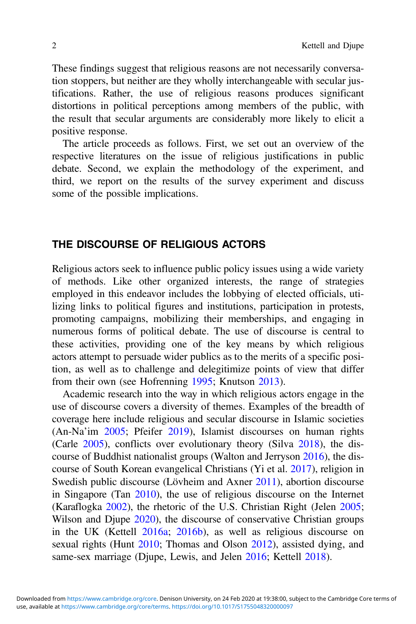These findings suggest that religious reasons are not necessarily conversation stoppers, but neither are they wholly interchangeable with secular justifications. Rather, the use of religious reasons produces significant distortions in political perceptions among members of the public, with the result that secular arguments are considerably more likely to elicit a positive response.

The article proceeds as follows. First, we set out an overview of the respective literatures on the issue of religious justifications in public debate. Second, we explain the methodology of the experiment, and third, we report on the results of the survey experiment and discuss some of the possible implications.

#### THE DISCOURSE OF RELIGIOUS ACTORS

Religious actors seek to influence public policy issues using a wide variety of methods. Like other organized interests, the range of strategies employed in this endeavor includes the lobbying of elected officials, utilizing links to political figures and institutions, participation in protests, promoting campaigns, mobilizing their memberships, and engaging in numerous forms of political debate. The use of discourse is central to these activities, providing one of the key means by which religious actors attempt to persuade wider publics as to the merits of a specific position, as well as to challenge and delegitimize points of view that differ from their own (see Hofrenning [1995;](#page-19-0) Knutson [2013](#page-20-0)).

Academic research into the way in which religious actors engage in the use of discourse covers a diversity of themes. Examples of the breadth of coverage here include religious and secular discourse in Islamic societies (An-Na'im [2005](#page-18-0); Pfeifer [2019\)](#page-20-0), Islamist discourses on human rights (Carle [2005](#page-18-0)), conflicts over evolutionary theory (Silva [2018\)](#page-21-0), the discourse of Buddhist nationalist groups (Walton and Jerryson [2016\)](#page-21-0), the discourse of South Korean evangelical Christians (Yi et al. [2017\)](#page-21-0), religion in Swedish public discourse (Lövheim and Axner [2011](#page-20-0)), abortion discourse in Singapore (Tan [2010](#page-21-0)), the use of religious discourse on the Internet (Karaflogka [2002\)](#page-19-0), the rhetoric of the U.S. Christian Right (Jelen [2005](#page-19-0); Wilson and Djupe [2020](#page-21-0)), the discourse of conservative Christian groups in the UK (Kettell [2016a](#page-19-0); [2016b\)](#page-19-0), as well as religious discourse on sexual rights (Hunt [2010](#page-19-0); Thomas and Olson [2012\)](#page-21-0), assisted dying, and same-sex marriage (Djupe, Lewis, and Jelen [2016;](#page-19-0) Kettell [2018\)](#page-19-0).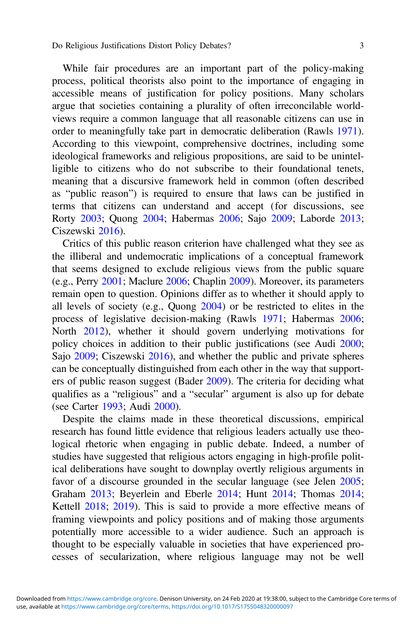While fair procedures are an important part of the policy-making process, political theorists also point to the importance of engaging in accessible means of justification for policy positions. Many scholars argue that societies containing a plurality of often irreconcilable worldviews require a common language that all reasonable citizens can use in order to meaningfully take part in democratic deliberation (Rawls [1971\)](#page-20-0). According to this viewpoint, comprehensive doctrines, including some ideological frameworks and religious propositions, are said to be unintelligible to citizens who do not subscribe to their foundational tenets, meaning that a discursive framework held in common (often described as "public reason") is required to ensure that laws can be justified in terms that citizens can understand and accept (for discussions, see Rorty [2003;](#page-20-0) Quong [2004](#page-20-0); Habermas [2006](#page-19-0); Sajo [2009;](#page-20-0) Laborde [2013](#page-20-0); Ciszewski [2016](#page-18-0)).

Critics of this public reason criterion have challenged what they see as the illiberal and undemocratic implications of a conceptual framework that seems designed to exclude religious views from the public square (e.g., Perry [2001;](#page-20-0) Maclure [2006](#page-20-0); Chaplin [2009\)](#page-18-0). Moreover, its parameters remain open to question. Opinions differ as to whether it should apply to all levels of society (e.g., Quong [2004\)](#page-20-0) or be restricted to elites in the process of legislative decision-making (Rawls [1971](#page-20-0); Habermas [2006](#page-19-0); North [2012\)](#page-20-0), whether it should govern underlying motivations for policy choices in addition to their public justifications (see Audi [2000](#page-18-0); Sajo [2009](#page-20-0); Ciszewski [2016](#page-18-0)), and whether the public and private spheres can be conceptually distinguished from each other in the way that supporters of public reason suggest (Bader [2009](#page-18-0)). The criteria for deciding what qualifies as a "religious" and a "secular" argument is also up for debate (see Carter [1993;](#page-18-0) Audi [2000\)](#page-18-0).

Despite the claims made in these theoretical discussions, empirical research has found little evidence that religious leaders actually use theological rhetoric when engaging in public debate. Indeed, a number of studies have suggested that religious actors engaging in high-profile political deliberations have sought to downplay overtly religious arguments in favor of a discourse grounded in the secular language (see Jelen [2005](#page-19-0); Graham [2013;](#page-19-0) Beyerlein and Eberle [2014](#page-18-0); Hunt [2014;](#page-19-0) Thomas [2014](#page-21-0); Kettell [2018;](#page-19-0) [2019](#page-20-0)). This is said to provide a more effective means of framing viewpoints and policy positions and of making those arguments potentially more accessible to a wider audience. Such an approach is thought to be especially valuable in societies that have experienced processes of secularization, where religious language may not be well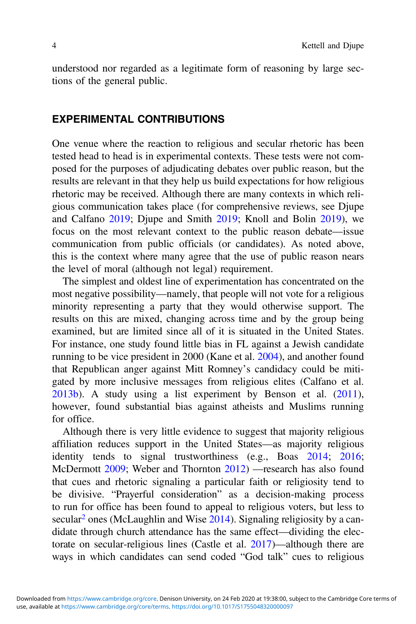understood nor regarded as a legitimate form of reasoning by large sections of the general public.

#### EXPERIMENTAL CONTRIBUTIONS

One venue where the reaction to religious and secular rhetoric has been tested head to head is in experimental contexts. These tests were not composed for the purposes of adjudicating debates over public reason, but the results are relevant in that they help us build expectations for how religious rhetoric may be received. Although there are many contexts in which religious communication takes place (for comprehensive reviews, see Djupe and Calfano [2019](#page-19-0); Djupe and Smith [2019;](#page-19-0) Knoll and Bolin [2019\)](#page-20-0), we focus on the most relevant context to the public reason debate—issue communication from public officials (or candidates). As noted above, this is the context where many agree that the use of public reason nears the level of moral (although not legal) requirement.

The simplest and oldest line of experimentation has concentrated on the most negative possibility—namely, that people will not vote for a religious minority representing a party that they would otherwise support. The results on this are mixed, changing across time and by the group being examined, but are limited since all of it is situated in the United States. For instance, one study found little bias in FL against a Jewish candidate running to be vice president in 2000 (Kane et al. [2004](#page-19-0)), and another found that Republican anger against Mitt Romney's candidacy could be mitigated by more inclusive messages from religious elites (Calfano et al. [2013b\)](#page-18-0). A study using a list experiment by Benson et al. ([2011\)](#page-18-0), however, found substantial bias against atheists and Muslims running for office.

Although there is very little evidence to suggest that majority religious affiliation reduces support in the United States—as majority religious identity tends to signal trustworthiness (e.g., Boas [2014;](#page-18-0) [2016](#page-18-0); McDermott [2009;](#page-20-0) Weber and Thornton [2012](#page-21-0)) —research has also found that cues and rhetoric signaling a particular faith or religiosity tend to be divisive. "Prayerful consideration" as a decision-making process to run for office has been found to appeal to religious voters, but less to secular<sup>[2](#page-17-0)</sup> ones (McLaughlin and Wise [2014](#page-20-0)). Signaling religiosity by a candidate through church attendance has the same effect—dividing the electorate on secular-religious lines (Castle et al. [2017](#page-18-0))—although there are ways in which candidates can send coded "God talk" cues to religious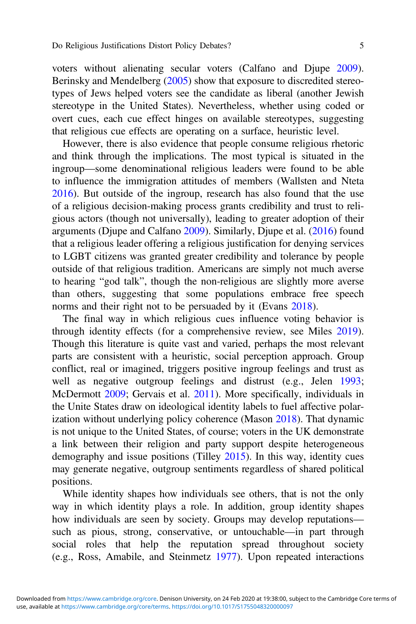voters without alienating secular voters (Calfano and Djupe [2009\)](#page-18-0). Berinsky and Mendelberg [\(2005](#page-18-0)) show that exposure to discredited stereotypes of Jews helped voters see the candidate as liberal (another Jewish stereotype in the United States). Nevertheless, whether using coded or overt cues, each cue effect hinges on available stereotypes, suggesting that religious cue effects are operating on a surface, heuristic level.

However, there is also evidence that people consume religious rhetoric and think through the implications. The most typical is situated in the ingroup—some denominational religious leaders were found to be able to influence the immigration attitudes of members (Wallsten and Nteta [2016](#page-21-0)). But outside of the ingroup, research has also found that the use of a religious decision-making process grants credibility and trust to religious actors (though not universally), leading to greater adoption of their arguments (Djupe and Calfano [2009\)](#page-19-0). Similarly, Djupe et al. [\(2016](#page-19-0)) found that a religious leader offering a religious justification for denying services to LGBT citizens was granted greater credibility and tolerance by people outside of that religious tradition. Americans are simply not much averse to hearing "god talk", though the non-religious are slightly more averse than others, suggesting that some populations embrace free speech norms and their right not to be persuaded by it (Evans [2018\)](#page-19-0).

The final way in which religious cues influence voting behavior is through identity effects (for a comprehensive review, see Miles [2019\)](#page-20-0). Though this literature is quite vast and varied, perhaps the most relevant parts are consistent with a heuristic, social perception approach. Group conflict, real or imagined, triggers positive ingroup feelings and trust as well as negative outgroup feelings and distrust (e.g., Jelen [1993](#page-19-0); McDermott [2009;](#page-20-0) Gervais et al. [2011](#page-19-0)). More specifically, individuals in the Unite States draw on ideological identity labels to fuel affective polarization without underlying policy coherence (Mason [2018](#page-20-0)). That dynamic is not unique to the United States, of course; voters in the UK demonstrate a link between their religion and party support despite heterogeneous demography and issue positions (Tilley [2015](#page-21-0)). In this way, identity cues may generate negative, outgroup sentiments regardless of shared political positions.

While identity shapes how individuals see others, that is not the only way in which identity plays a role. In addition, group identity shapes how individuals are seen by society. Groups may develop reputations such as pious, strong, conservative, or untouchable—in part through social roles that help the reputation spread throughout society (e.g., Ross, Amabile, and Steinmetz [1977\)](#page-20-0). Upon repeated interactions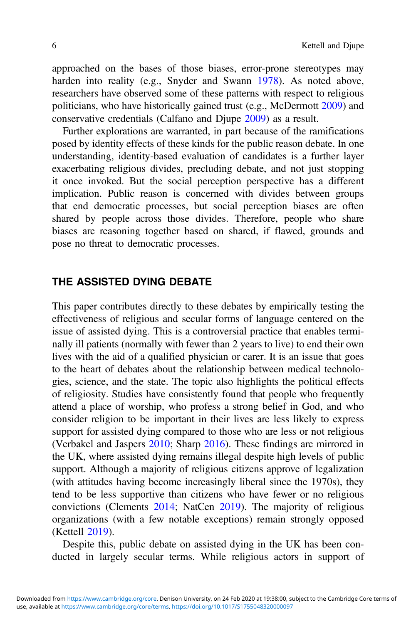approached on the bases of those biases, error-prone stereotypes may harden into reality (e.g., Snyder and Swann [1978](#page-21-0)). As noted above, researchers have observed some of these patterns with respect to religious politicians, who have historically gained trust (e.g., McDermott [2009\)](#page-20-0) and conservative credentials (Calfano and Djupe [2009](#page-18-0)) as a result.

Further explorations are warranted, in part because of the ramifications posed by identity effects of these kinds for the public reason debate. In one understanding, identity-based evaluation of candidates is a further layer exacerbating religious divides, precluding debate, and not just stopping it once invoked. But the social perception perspective has a different implication. Public reason is concerned with divides between groups that end democratic processes, but social perception biases are often shared by people across those divides. Therefore, people who share biases are reasoning together based on shared, if flawed, grounds and pose no threat to democratic processes.

#### THE ASSISTED DYING DEBATE

This paper contributes directly to these debates by empirically testing the effectiveness of religious and secular forms of language centered on the issue of assisted dying. This is a controversial practice that enables terminally ill patients (normally with fewer than 2 years to live) to end their own lives with the aid of a qualified physician or carer. It is an issue that goes to the heart of debates about the relationship between medical technologies, science, and the state. The topic also highlights the political effects of religiosity. Studies have consistently found that people who frequently attend a place of worship, who profess a strong belief in God, and who consider religion to be important in their lives are less likely to express support for assisted dying compared to those who are less or not religious (Verbakel and Jaspers [2010](#page-21-0); Sharp [2016\)](#page-21-0). These findings are mirrored in the UK, where assisted dying remains illegal despite high levels of public support. Although a majority of religious citizens approve of legalization (with attitudes having become increasingly liberal since the 1970s), they tend to be less supportive than citizens who have fewer or no religious convictions (Clements [2014;](#page-18-0) NatCen [2019](#page-20-0)). The majority of religious organizations (with a few notable exceptions) remain strongly opposed (Kettell [2019\)](#page-20-0).

Despite this, public debate on assisted dying in the UK has been conducted in largely secular terms. While religious actors in support of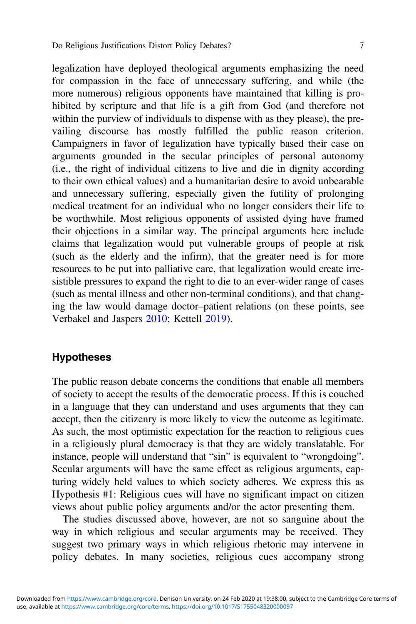legalization have deployed theological arguments emphasizing the need for compassion in the face of unnecessary suffering, and while (the more numerous) religious opponents have maintained that killing is prohibited by scripture and that life is a gift from God (and therefore not within the purview of individuals to dispense with as they please), the prevailing discourse has mostly fulfilled the public reason criterion. Campaigners in favor of legalization have typically based their case on arguments grounded in the secular principles of personal autonomy (i.e., the right of individual citizens to live and die in dignity according to their own ethical values) and a humanitarian desire to avoid unbearable and unnecessary suffering, especially given the futility of prolonging medical treatment for an individual who no longer considers their life to be worthwhile. Most religious opponents of assisted dying have framed their objections in a similar way. The principal arguments here include claims that legalization would put vulnerable groups of people at risk (such as the elderly and the infirm), that the greater need is for more resources to be put into palliative care, that legalization would create irresistible pressures to expand the right to die to an ever-wider range of cases (such as mental illness and other non-terminal conditions), and that changing the law would damage doctor–patient relations (on these points, see Verbakel and Jaspers [2010;](#page-21-0) Kettell [2019](#page-20-0)).

# Hypotheses

The public reason debate concerns the conditions that enable all members of society to accept the results of the democratic process. If this is couched in a language that they can understand and uses arguments that they can accept, then the citizenry is more likely to view the outcome as legitimate. As such, the most optimistic expectation for the reaction to religious cues in a religiously plural democracy is that they are widely translatable. For instance, people will understand that "sin" is equivalent to "wrongdoing". Secular arguments will have the same effect as religious arguments, capturing widely held values to which society adheres. We express this as Hypothesis #1: Religious cues will have no significant impact on citizen views about public policy arguments and/or the actor presenting them.

The studies discussed above, however, are not so sanguine about the way in which religious and secular arguments may be received. They suggest two primary ways in which religious rhetoric may intervene in policy debates. In many societies, religious cues accompany strong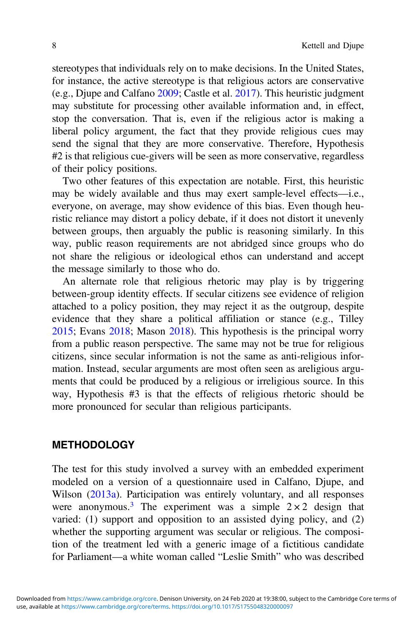stereotypes that individuals rely on to make decisions. In the United States, for instance, the active stereotype is that religious actors are conservative (e.g., Djupe and Calfano [2009](#page-19-0); Castle et al. [2017](#page-18-0)). This heuristic judgment may substitute for processing other available information and, in effect, stop the conversation. That is, even if the religious actor is making a liberal policy argument, the fact that they provide religious cues may send the signal that they are more conservative. Therefore, Hypothesis #2 is that religious cue-givers will be seen as more conservative, regardless of their policy positions.

Two other features of this expectation are notable. First, this heuristic may be widely available and thus may exert sample-level effects—i.e., everyone, on average, may show evidence of this bias. Even though heuristic reliance may distort a policy debate, if it does not distort it unevenly between groups, then arguably the public is reasoning similarly. In this way, public reason requirements are not abridged since groups who do not share the religious or ideological ethos can understand and accept the message similarly to those who do.

An alternate role that religious rhetoric may play is by triggering between-group identity effects. If secular citizens see evidence of religion attached to a policy position, they may reject it as the outgroup, despite evidence that they share a political affiliation or stance (e.g., Tilley [2015](#page-21-0); Evans [2018](#page-19-0); Mason [2018\)](#page-20-0). This hypothesis is the principal worry from a public reason perspective. The same may not be true for religious citizens, since secular information is not the same as anti-religious information. Instead, secular arguments are most often seen as areligious arguments that could be produced by a religious or irreligious source. In this way, Hypothesis #3 is that the effects of religious rhetoric should be more pronounced for secular than religious participants.

#### **METHODOLOGY**

The test for this study involved a survey with an embedded experiment modeled on a version of a questionnaire used in Calfano, Djupe, and Wilson ([2013a](#page-18-0)). Participation was entirely voluntary, and all responses were anonymous.<sup>[3](#page-17-0)</sup> The experiment was a simple  $2 \times 2$  design that varied: (1) support and opposition to an assisted dying policy, and (2) whether the supporting argument was secular or religious. The composition of the treatment led with a generic image of a fictitious candidate for Parliament—a white woman called "Leslie Smith" who was described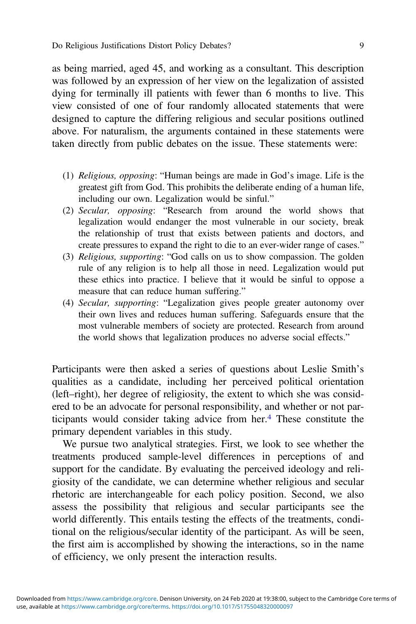as being married, aged 45, and working as a consultant. This description was followed by an expression of her view on the legalization of assisted dying for terminally ill patients with fewer than 6 months to live. This view consisted of one of four randomly allocated statements that were designed to capture the differing religious and secular positions outlined above. For naturalism, the arguments contained in these statements were taken directly from public debates on the issue. These statements were:

- (1) Religious, opposing: "Human beings are made in God's image. Life is the greatest gift from God. This prohibits the deliberate ending of a human life, including our own. Legalization would be sinful."
- (2) Secular, opposing: "Research from around the world shows that legalization would endanger the most vulnerable in our society, break the relationship of trust that exists between patients and doctors, and create pressures to expand the right to die to an ever-wider range of cases."
- (3) Religious, supporting: "God calls on us to show compassion. The golden rule of any religion is to help all those in need. Legalization would put these ethics into practice. I believe that it would be sinful to oppose a measure that can reduce human suffering."
- (4) Secular, supporting: "Legalization gives people greater autonomy over their own lives and reduces human suffering. Safeguards ensure that the most vulnerable members of society are protected. Research from around the world shows that legalization produces no adverse social effects."

Participants were then asked a series of questions about Leslie Smith's qualities as a candidate, including her perceived political orientation (left–right), her degree of religiosity, the extent to which she was considered to be an advocate for personal responsibility, and whether or not participants would consider taking advice from her.[4](#page-18-0) These constitute the primary dependent variables in this study.

We pursue two analytical strategies. First, we look to see whether the treatments produced sample-level differences in perceptions of and support for the candidate. By evaluating the perceived ideology and religiosity of the candidate, we can determine whether religious and secular rhetoric are interchangeable for each policy position. Second, we also assess the possibility that religious and secular participants see the world differently. This entails testing the effects of the treatments, conditional on the religious/secular identity of the participant. As will be seen, the first aim is accomplished by showing the interactions, so in the name of efficiency, we only present the interaction results.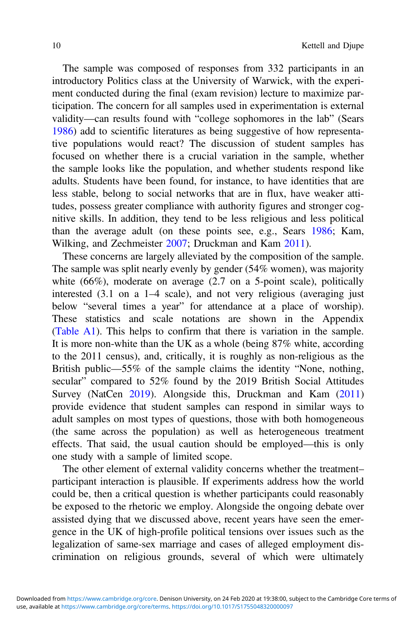The sample was composed of responses from 332 participants in an introductory Politics class at the University of Warwick, with the experiment conducted during the final (exam revision) lecture to maximize participation. The concern for all samples used in experimentation is external validity—can results found with "college sophomores in the lab" (Sears [1986](#page-20-0)) add to scientific literatures as being suggestive of how representative populations would react? The discussion of student samples has focused on whether there is a crucial variation in the sample, whether the sample looks like the population, and whether students respond like adults. Students have been found, for instance, to have identities that are less stable, belong to social networks that are in flux, have weaker attitudes, possess greater compliance with authority figures and stronger cognitive skills. In addition, they tend to be less religious and less political than the average adult (on these points see, e.g., Sears [1986](#page-20-0); Kam, Wilking, and Zechmeister [2007](#page-19-0); Druckman and Kam [2011](#page-19-0)).

These concerns are largely alleviated by the composition of the sample. The sample was split nearly evenly by gender (54% women), was majority white (66%), moderate on average (2.7 on a 5-point scale), politically interested (3.1 on a 1–4 scale), and not very religious (averaging just below "several times a year" for attendance at a place of worship). These statistics and scale notations are shown in the Appendix ([Table A1\)](#page-22-0). This helps to confirm that there is variation in the sample. It is more non-white than the UK as a whole (being 87% white, according to the 2011 census), and, critically, it is roughly as non-religious as the British public—55% of the sample claims the identity "None, nothing, secular" compared to 52% found by the 2019 British Social Attitudes Survey (NatCen [2019](#page-20-0)). Alongside this, Druckman and Kam [\(2011](#page-19-0)) provide evidence that student samples can respond in similar ways to adult samples on most types of questions, those with both homogeneous (the same across the population) as well as heterogeneous treatment effects. That said, the usual caution should be employed—this is only one study with a sample of limited scope.

The other element of external validity concerns whether the treatmentparticipant interaction is plausible. If experiments address how the world could be, then a critical question is whether participants could reasonably be exposed to the rhetoric we employ. Alongside the ongoing debate over assisted dying that we discussed above, recent years have seen the emergence in the UK of high-profile political tensions over issues such as the legalization of same-sex marriage and cases of alleged employment discrimination on religious grounds, several of which were ultimately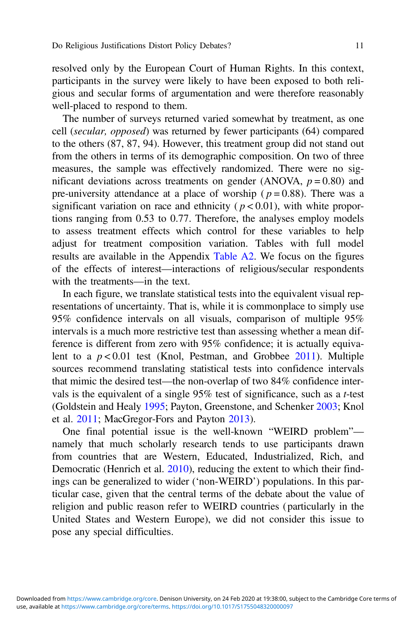resolved only by the European Court of Human Rights. In this context, participants in the survey were likely to have been exposed to both religious and secular forms of argumentation and were therefore reasonably well-placed to respond to them.

The number of surveys returned varied somewhat by treatment, as one cell (secular, opposed) was returned by fewer participants (64) compared to the others (87, 87, 94). However, this treatment group did not stand out from the others in terms of its demographic composition. On two of three measures, the sample was effectively randomized. There were no significant deviations across treatments on gender (ANOVA,  $p = 0.80$ ) and pre-university attendance at a place of worship ( $p = 0.88$ ). There was a significant variation on race and ethnicity ( $p < 0.01$ ), with white proportions ranging from 0.53 to 0.77. Therefore, the analyses employ models to assess treatment effects which control for these variables to help adjust for treatment composition variation. Tables with full model results are available in the Appendix [Table A2.](#page-24-0) We focus on the figures of the effects of interest—interactions of religious/secular respondents with the treatments—in the text.

In each figure, we translate statistical tests into the equivalent visual representations of uncertainty. That is, while it is commonplace to simply use 95% confidence intervals on all visuals, comparison of multiple 95% intervals is a much more restrictive test than assessing whether a mean difference is different from zero with 95% confidence; it is actually equivalent to a  $p < 0.01$  test (Knol, Pestman, and Grobbee [2011](#page-20-0)). Multiple sources recommend translating statistical tests into confidence intervals that mimic the desired test—the non-overlap of two 84% confidence intervals is the equivalent of a single  $95\%$  test of significance, such as a *t*-test (Goldstein and Healy [1995](#page-19-0); Payton, Greenstone, and Schenker [2003](#page-20-0); Knol et al. [2011;](#page-20-0) MacGregor-Fors and Payton [2013](#page-20-0)).

One final potential issue is the well-known "WEIRD problem" namely that much scholarly research tends to use participants drawn from countries that are Western, Educated, Industrialized, Rich, and Democratic (Henrich et al. [2010\)](#page-19-0), reducing the extent to which their findings can be generalized to wider ('non-WEIRD') populations. In this particular case, given that the central terms of the debate about the value of religion and public reason refer to WEIRD countries ( particularly in the United States and Western Europe), we did not consider this issue to pose any special difficulties.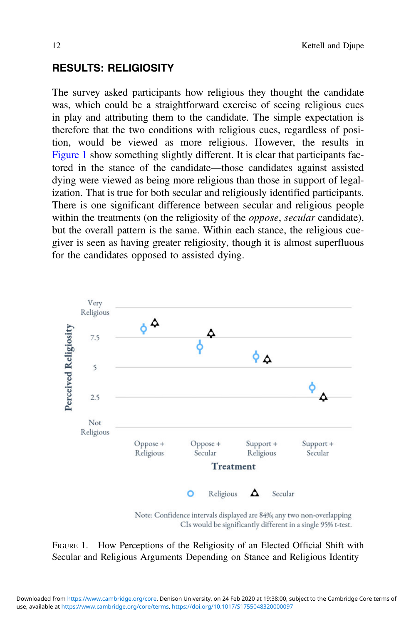### RESULTS: RELIGIOSITY

The survey asked participants how religious they thought the candidate was, which could be a straightforward exercise of seeing religious cues in play and attributing them to the candidate. The simple expectation is therefore that the two conditions with religious cues, regardless of position, would be viewed as more religious. However, the results in Figure 1 show something slightly different. It is clear that participants factored in the stance of the candidate—those candidates against assisted dying were viewed as being more religious than those in support of legalization. That is true for both secular and religiously identified participants. There is one significant difference between secular and religious people within the treatments (on the religiosity of the *oppose*, secular candidate), but the overall pattern is the same. Within each stance, the religious cuegiver is seen as having greater religiosity, though it is almost superfluous for the candidates opposed to assisted dying.



Note: Confidence intervals displayed are 84%; any two non-overlapping CIs would be significantly different in a single 95% t-test.

FIGURE 1. How Perceptions of the Religiosity of an Elected Official Shift with Secular and Religious Arguments Depending on Stance and Religious Identity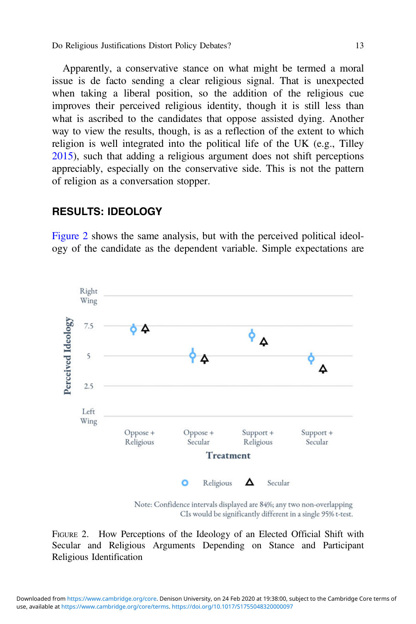Apparently, a conservative stance on what might be termed a moral issue is de facto sending a clear religious signal. That is unexpected when taking a liberal position, so the addition of the religious cue improves their perceived religious identity, though it is still less than what is ascribed to the candidates that oppose assisted dying. Another way to view the results, though, is as a reflection of the extent to which religion is well integrated into the political life of the UK (e.g., Tilley [2015](#page-21-0)), such that adding a religious argument does not shift perceptions appreciably, especially on the conservative side. This is not the pattern of religion as a conversation stopper.

# RESULTS: IDEOLOGY

Figure 2 shows the same analysis, but with the perceived political ideology of the candidate as the dependent variable. Simple expectations are



Note: Confidence intervals displayed are 84%; any two non-overlapping CIs would be significantly different in a single 95% t-test.

FIGURE 2. How Perceptions of the Ideology of an Elected Official Shift with Secular and Religious Arguments Depending on Stance and Participant Religious Identification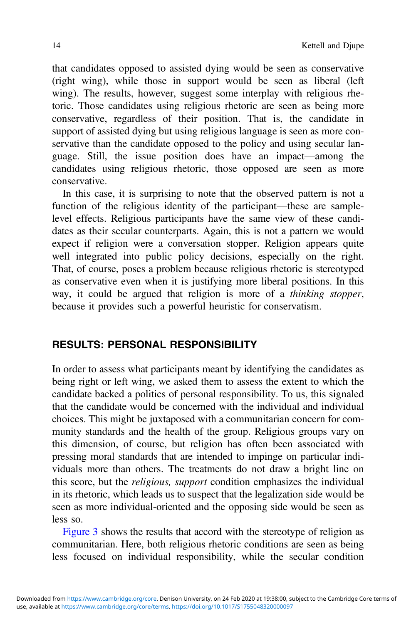that candidates opposed to assisted dying would be seen as conservative (right wing), while those in support would be seen as liberal (left wing). The results, however, suggest some interplay with religious rhetoric. Those candidates using religious rhetoric are seen as being more conservative, regardless of their position. That is, the candidate in support of assisted dying but using religious language is seen as more conservative than the candidate opposed to the policy and using secular language. Still, the issue position does have an impact—among the candidates using religious rhetoric, those opposed are seen as more conservative.

In this case, it is surprising to note that the observed pattern is not a function of the religious identity of the participant—these are samplelevel effects. Religious participants have the same view of these candidates as their secular counterparts. Again, this is not a pattern we would expect if religion were a conversation stopper. Religion appears quite well integrated into public policy decisions, especially on the right. That, of course, poses a problem because religious rhetoric is stereotyped as conservative even when it is justifying more liberal positions. In this way, it could be argued that religion is more of a thinking stopper, because it provides such a powerful heuristic for conservatism.

## RESULTS: PERSONAL RESPONSIBILITY

In order to assess what participants meant by identifying the candidates as being right or left wing, we asked them to assess the extent to which the candidate backed a politics of personal responsibility. To us, this signaled that the candidate would be concerned with the individual and individual choices. This might be juxtaposed with a communitarian concern for community standards and the health of the group. Religious groups vary on this dimension, of course, but religion has often been associated with pressing moral standards that are intended to impinge on particular individuals more than others. The treatments do not draw a bright line on this score, but the *religious, support* condition emphasizes the individual in its rhetoric, which leads us to suspect that the legalization side would be seen as more individual-oriented and the opposing side would be seen as less so.

[Figure 3](#page-14-0) shows the results that accord with the stereotype of religion as communitarian. Here, both religious rhetoric conditions are seen as being less focused on individual responsibility, while the secular condition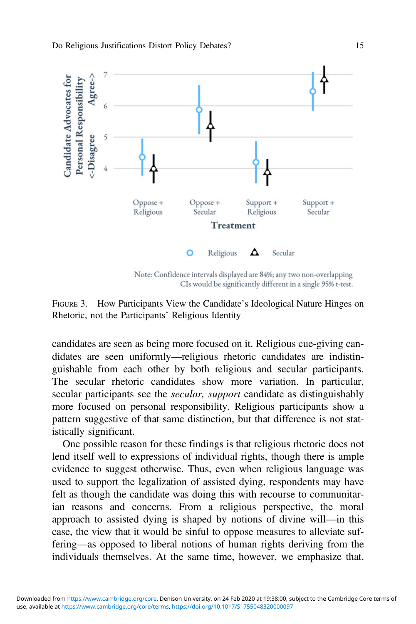<span id="page-14-0"></span>

Note: Confidence intervals displayed are 84%; any two non-overlapping CIs would be significantly different in a single 95% t-test.

FIGURE 3. How Participants View the Candidate's Ideological Nature Hinges on Rhetoric, not the Participants' Religious Identity

candidates are seen as being more focused on it. Religious cue-giving candidates are seen uniformly—religious rhetoric candidates are indistinguishable from each other by both religious and secular participants. The secular rhetoric candidates show more variation. In particular, secular participants see the *secular*, *support* candidate as distinguishably more focused on personal responsibility. Religious participants show a pattern suggestive of that same distinction, but that difference is not statistically significant.

One possible reason for these findings is that religious rhetoric does not lend itself well to expressions of individual rights, though there is ample evidence to suggest otherwise. Thus, even when religious language was used to support the legalization of assisted dying, respondents may have felt as though the candidate was doing this with recourse to communitarian reasons and concerns. From a religious perspective, the moral approach to assisted dying is shaped by notions of divine will—in this case, the view that it would be sinful to oppose measures to alleviate suffering—as opposed to liberal notions of human rights deriving from the individuals themselves. At the same time, however, we emphasize that,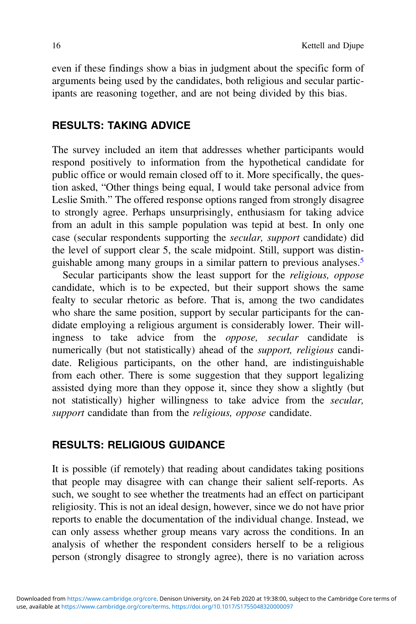even if these findings show a bias in judgment about the specific form of arguments being used by the candidates, both religious and secular participants are reasoning together, and are not being divided by this bias.

## RESULTS: TAKING ADVICE

The survey included an item that addresses whether participants would respond positively to information from the hypothetical candidate for public office or would remain closed off to it. More specifically, the question asked, "Other things being equal, I would take personal advice from Leslie Smith." The offered response options ranged from strongly disagree to strongly agree. Perhaps unsurprisingly, enthusiasm for taking advice from an adult in this sample population was tepid at best. In only one case (secular respondents supporting the secular, support candidate) did the level of support clear 5, the scale midpoint. Still, support was distinguishable among many groups in a similar pattern to previous analyses.[5](#page-18-0)

Secular participants show the least support for the *religious*, *oppose* candidate, which is to be expected, but their support shows the same fealty to secular rhetoric as before. That is, among the two candidates who share the same position, support by secular participants for the candidate employing a religious argument is considerably lower. Their willingness to take advice from the oppose, secular candidate is numerically (but not statistically) ahead of the support, religious candidate. Religious participants, on the other hand, are indistinguishable from each other. There is some suggestion that they support legalizing assisted dying more than they oppose it, since they show a slightly (but not statistically) higher willingness to take advice from the secular, support candidate than from the *religious*, *oppose* candidate.

#### RESULTS: RELIGIOUS GUIDANCE

It is possible (if remotely) that reading about candidates taking positions that people may disagree with can change their salient self-reports. As such, we sought to see whether the treatments had an effect on participant religiosity. This is not an ideal design, however, since we do not have prior reports to enable the documentation of the individual change. Instead, we can only assess whether group means vary across the conditions. In an analysis of whether the respondent considers herself to be a religious person (strongly disagree to strongly agree), there is no variation across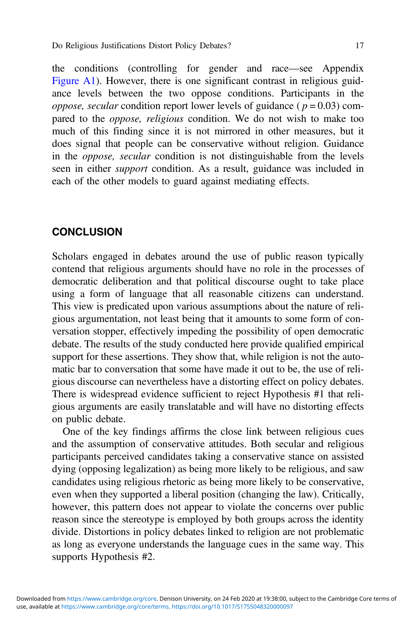the conditions (controlling for gender and race—see Appendix [Figure A1\)](#page-25-0). However, there is one significant contrast in religious guidance levels between the two oppose conditions. Participants in the *oppose, secular* condition report lower levels of guidance ( $p = 0.03$ ) compared to the oppose, religious condition. We do not wish to make too much of this finding since it is not mirrored in other measures, but it does signal that people can be conservative without religion. Guidance in the oppose, secular condition is not distinguishable from the levels seen in either support condition. As a result, guidance was included in each of the other models to guard against mediating effects.

#### **CONCLUSION**

Scholars engaged in debates around the use of public reason typically contend that religious arguments should have no role in the processes of democratic deliberation and that political discourse ought to take place using a form of language that all reasonable citizens can understand. This view is predicated upon various assumptions about the nature of religious argumentation, not least being that it amounts to some form of conversation stopper, effectively impeding the possibility of open democratic debate. The results of the study conducted here provide qualified empirical support for these assertions. They show that, while religion is not the automatic bar to conversation that some have made it out to be, the use of religious discourse can nevertheless have a distorting effect on policy debates. There is widespread evidence sufficient to reject Hypothesis #1 that religious arguments are easily translatable and will have no distorting effects on public debate.

One of the key findings affirms the close link between religious cues and the assumption of conservative attitudes. Both secular and religious participants perceived candidates taking a conservative stance on assisted dying (opposing legalization) as being more likely to be religious, and saw candidates using religious rhetoric as being more likely to be conservative, even when they supported a liberal position (changing the law). Critically, however, this pattern does not appear to violate the concerns over public reason since the stereotype is employed by both groups across the identity divide. Distortions in policy debates linked to religion are not problematic as long as everyone understands the language cues in the same way. This supports Hypothesis #2.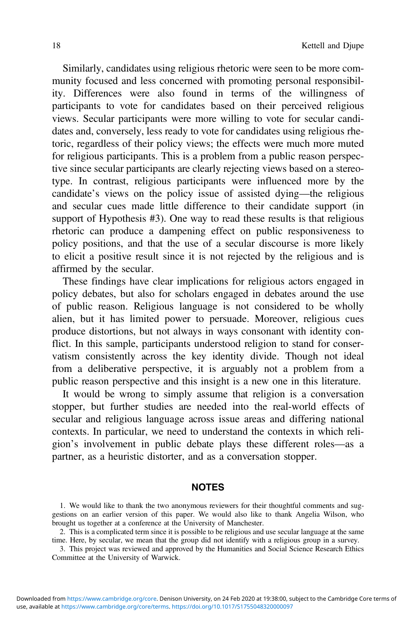<span id="page-17-0"></span>Similarly, candidates using religious rhetoric were seen to be more community focused and less concerned with promoting personal responsibility. Differences were also found in terms of the willingness of participants to vote for candidates based on their perceived religious views. Secular participants were more willing to vote for secular candidates and, conversely, less ready to vote for candidates using religious rhetoric, regardless of their policy views; the effects were much more muted for religious participants. This is a problem from a public reason perspective since secular participants are clearly rejecting views based on a stereotype. In contrast, religious participants were influenced more by the candidate's views on the policy issue of assisted dying—the religious and secular cues made little difference to their candidate support (in support of Hypothesis #3). One way to read these results is that religious rhetoric can produce a dampening effect on public responsiveness to policy positions, and that the use of a secular discourse is more likely to elicit a positive result since it is not rejected by the religious and is affirmed by the secular.

These findings have clear implications for religious actors engaged in policy debates, but also for scholars engaged in debates around the use of public reason. Religious language is not considered to be wholly alien, but it has limited power to persuade. Moreover, religious cues produce distortions, but not always in ways consonant with identity conflict. In this sample, participants understood religion to stand for conservatism consistently across the key identity divide. Though not ideal from a deliberative perspective, it is arguably not a problem from a public reason perspective and this insight is a new one in this literature.

It would be wrong to simply assume that religion is a conversation stopper, but further studies are needed into the real-world effects of secular and religious language across issue areas and differing national contexts. In particular, we need to understand the contexts in which religion's involvement in public debate plays these different roles—as a partner, as a heuristic distorter, and as a conversation stopper.

#### NOTES

<sup>1.</sup> We would like to thank the two anonymous reviewers for their thoughtful comments and suggestions on an earlier version of this paper. We would also like to thank Angelia Wilson, who brought us together at a conference at the University of Manchester.

<sup>2.</sup> This is a complicated term since it is possible to be religious and use secular language at the same time. Here, by secular, we mean that the group did not identify with a religious group in a survey.

<sup>3.</sup> This project was reviewed and approved by the Humanities and Social Science Research Ethics Committee at the University of Warwick.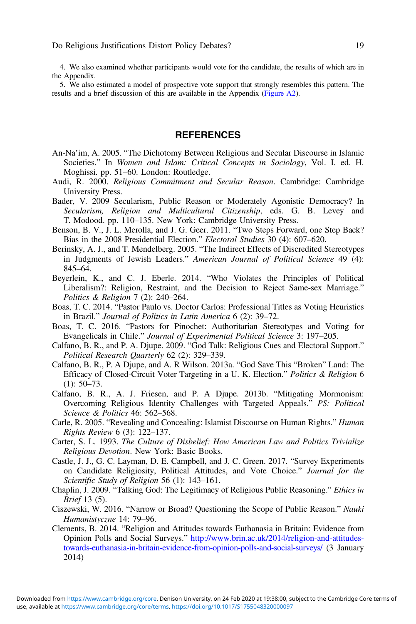<span id="page-18-0"></span>4. We also examined whether participants would vote for the candidate, the results of which are in the Appendix.

5. We also estimated a model of prospective vote support that strongly resembles this pattern. The results and a brief discussion of this are available in the Appendix [\(Figure A2](#page-25-0)).

#### **REFERENCES**

- An-Na'im, A. 2005. "The Dichotomy Between Religious and Secular Discourse in Islamic Societies." In Women and Islam: Critical Concepts in Sociology, Vol. I. ed. H. Moghissi. pp. 51–60. London: Routledge.
- Audi, R. 2000. Religious Commitment and Secular Reason. Cambridge: Cambridge University Press.
- Bader, V. 2009 Secularism, Public Reason or Moderately Agonistic Democracy? In Secularism, Religion and Multicultural Citizenship, eds. G. B. Levey and T. Modood. pp. 110–135. New York: Cambridge University Press.
- Benson, B. V., J. L. Merolla, and J. G. Geer. 2011. "Two Steps Forward, one Step Back? Bias in the 2008 Presidential Election." Electoral Studies 30 (4): 607–620.
- Berinsky, A. J., and T. Mendelberg. 2005. "The Indirect Effects of Discredited Stereotypes in Judgments of Jewish Leaders." American Journal of Political Science 49 (4): 845–64.
- Beyerlein, K., and C. J. Eberle. 2014. "Who Violates the Principles of Political Liberalism?: Religion, Restraint, and the Decision to Reject Same-sex Marriage." Politics & Religion 7 (2): 240–264.
- Boas, T. C. 2014. "Pastor Paulo vs. Doctor Carlos: Professional Titles as Voting Heuristics in Brazil." Journal of Politics in Latin America 6 (2): 39–72.
- Boas, T. C. 2016. "Pastors for Pinochet: Authoritarian Stereotypes and Voting for Evangelicals in Chile." Journal of Experimental Political Science 3: 197–205.
- Calfano, B. R., and P. A. Djupe. 2009. "God Talk: Religious Cues and Electoral Support." Political Research Quarterly 62 (2): 329–339.
- Calfano, B. R., P. A Djupe, and A. R Wilson. 2013a. "God Save This "Broken" Land: The Efficacy of Closed-Circuit Voter Targeting in a U. K. Election." Politics & Religion 6 (1): 50–73.
- Calfano, B. R., A. J. Friesen, and P. A Djupe. 2013b. "Mitigating Mormonism: Overcoming Religious Identity Challenges with Targeted Appeals." PS: Political Science & Politics 46: 562–568.
- Carle, R. 2005. "Revealing and Concealing: Islamist Discourse on Human Rights." Human Rights Review 6 (3): 122–137.
- Carter, S. L. 1993. The Culture of Disbelief: How American Law and Politics Trivialize Religious Devotion. New York: Basic Books.
- Castle, J. J., G. C. Layman, D. E. Campbell, and J. C. Green. 2017. "Survey Experiments on Candidate Religiosity, Political Attitudes, and Vote Choice." Journal for the Scientific Study of Religion 56 (1): 143-161.
- Chaplin, J. 2009. "Talking God: The Legitimacy of Religious Public Reasoning." Ethics in Brief 13 (5).
- Ciszewski, W. 2016. "Narrow or Broad? Questioning the Scope of Public Reason." Nauki Humanistyczne 14: 79–96.
- Clements, B. 2014. "Religion and Attitudes towards Euthanasia in Britain: Evidence from Opinion Polls and Social Surveys." [http://www.brin.ac.uk/2014/religion-and-attitudes](http://www.brin.ac.uk/2014/religion-and-attitudes-towards-euthanasia-in-britain-evidence-from-opinion-polls-and-social-surveys/)[towards-euthanasia-in-britain-evidence-from-opinion-polls-and-social-surveys/](http://www.brin.ac.uk/2014/religion-and-attitudes-towards-euthanasia-in-britain-evidence-from-opinion-polls-and-social-surveys/) (3 January 2014)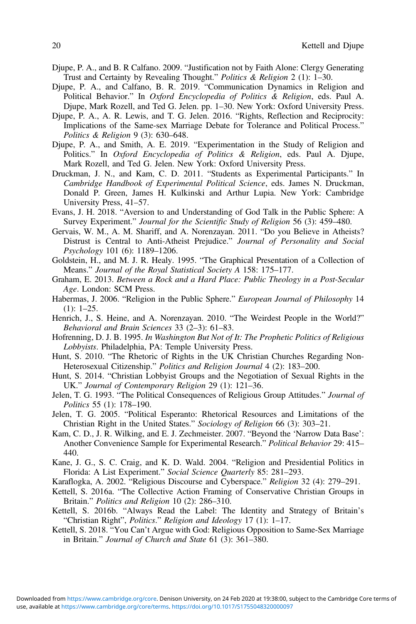- <span id="page-19-0"></span>Djupe, P. A., and B. R Calfano. 2009. "Justification not by Faith Alone: Clergy Generating Trust and Certainty by Revealing Thought." Politics & Religion 2 (1): 1–30.
- Djupe, P. A., and Calfano, B. R. 2019. "Communication Dynamics in Religion and Political Behavior." In Oxford Encyclopedia of Politics & Religion, eds. Paul A. Djupe, Mark Rozell, and Ted G. Jelen. pp. 1–30. New York: Oxford University Press.
- Djupe, P. A., A. R. Lewis, and T. G. Jelen. 2016. "Rights, Reflection and Reciprocity: Implications of the Same-sex Marriage Debate for Tolerance and Political Process." Politics & Religion 9 (3): 630–648.
- Djupe, P. A., and Smith, A. E. 2019. "Experimentation in the Study of Religion and Politics." In Oxford Encyclopedia of Politics & Religion, eds. Paul A. Djupe, Mark Rozell, and Ted G. Jelen. New York: Oxford University Press.
- Druckman, J. N., and Kam, C. D. 2011. "Students as Experimental Participants." In Cambridge Handbook of Experimental Political Science, eds. James N. Druckman, Donald P. Green, James H. Kulkinski and Arthur Lupia. New York: Cambridge University Press, 41–57.
- Evans, J. H. 2018. "Aversion to and Understanding of God Talk in the Public Sphere: A Survey Experiment." Journal for the Scientific Study of Religion 56 (3): 459–480.
- Gervais, W. M., A. M. Shariff, and A. Norenzayan. 2011. "Do you Believe in Atheists? Distrust is Central to Anti-Atheist Prejudice." Journal of Personality and Social Psychology 101 (6): 1189–1206.
- Goldstein, H., and M. J. R. Healy. 1995. "The Graphical Presentation of a Collection of Means." Journal of the Royal Statistical Society A 158: 175–177.
- Graham, E. 2013. Between a Rock and a Hard Place: Public Theology in a Post-Secular Age. London: SCM Press.
- Habermas, J. 2006. "Religion in the Public Sphere." European Journal of Philosophy 14 (1): 1–25.
- Henrich, J., S. Heine, and A. Norenzayan. 2010. "The Weirdest People in the World?" Behavioral and Brain Sciences 33 (2–3): 61–83.
- Hofrenning, D. J. B. 1995. In Washington But Not of It: The Prophetic Politics of Religious Lobbyists. Philadelphia, PA: Temple University Press.
- Hunt, S. 2010. "The Rhetoric of Rights in the UK Christian Churches Regarding Non-Heterosexual Citizenship." Politics and Religion Journal 4 (2): 183-200.
- Hunt, S. 2014. "Christian Lobbyist Groups and the Negotiation of Sexual Rights in the UK." Journal of Contemporary Religion 29 (1): 121–36.
- Jelen, T. G. 1993. "The Political Consequences of Religious Group Attitudes." Journal of Politics 55 (1): 178–190.
- Jelen, T. G. 2005. "Political Esperanto: Rhetorical Resources and Limitations of the Christian Right in the United States." Sociology of Religion 66 (3): 303–21.
- Kam, C. D., J. R. Wilking, and E. J. Zechmeister. 2007. "Beyond the 'Narrow Data Base': Another Convenience Sample for Experimental Research." Political Behavior 29: 415– 440.
- Kane, J. G., S. C. Craig, and K. D. Wald. 2004. "Religion and Presidential Politics in Florida: A List Experiment." Social Science Quarterly 85: 281–293.
- Karaflogka, A. 2002. "Religious Discourse and Cyberspace." Religion 32 (4): 279–291.
- Kettell, S. 2016a. "The Collective Action Framing of Conservative Christian Groups in Britain." Politics and Religion 10 (2): 286-310.
- Kettell, S. 2016b. "Always Read the Label: The Identity and Strategy of Britain's "Christian Right", Politics." Religion and Ideology 17 (1): 1–17.
- Kettell, S. 2018. "You Can't Argue with God: Religious Opposition to Same-Sex Marriage in Britain." Journal of Church and State 61 (3): 361–380.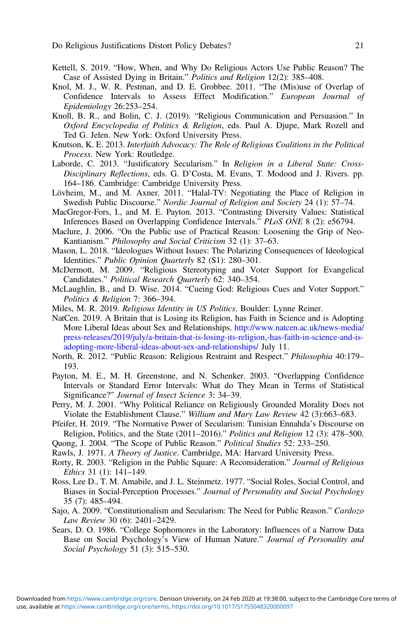- <span id="page-20-0"></span>Kettell, S. 2019. "How, When, and Why Do Religious Actors Use Public Reason? The Case of Assisted Dying in Britain." Politics and Religion 12(2): 385–408.
- Knol, M. J., W. R. Pestman, and D. E. Grobbee. 2011. "The (Mis)use of Overlap of Confidence Intervals to Assess Effect Modification." European Journal of Epidemiology 26:253–254.
- Knoll, B. R., and Bolin, C. J. (2019). "Religious Communication and Persuasion." In Oxford Encyclopedia of Politics & Religion, eds. Paul A. Djupe, Mark Rozell and Ted G. Jelen. New York: Oxford University Press.
- Knutson, K. E. 2013. Interfaith Advocacy: The Role of Religious Coalitions in the Political Process. New York: Routledge.
- Laborde, C. 2013. "Justificatory Secularism." In Religion in a Liberal State: Cross-Disciplinary Reflections, eds. G. D'Costa, M. Evans, T. Modood and J. Rivers. pp. 164–186. Cambridge: Cambridge University Press.
- Lövheim, M., and M. Axner. 2011. "Halal-TV: Negotiating the Place of Religion in Swedish Public Discourse." Nordic Journal of Religion and Society 24 (1): 57–74.
- MacGregor-Fors, I., and M. E. Payton. 2013. "Contrasting Diversity Values: Statistical Inferences Based on Overlapping Confidence Intervals." PLoS ONE 8 (2): e56794.
- Maclure, J. 2006. "On the Public use of Practical Reason: Loosening the Grip of Neo-Kantianism." Philosophy and Social Criticism 32 (1): 37–63.
- Mason, L. 2018. "Ideologues Without Issues: The Polarizing Consequences of Ideological Identities." Public Opinion Quarterly 82 (S1): 280–301.
- McDermott, M. 2009. "Religious Stereotyping and Voter Support for Evangelical Candidates." Political Research Quarterly 62: 340–354.
- McLaughlin, B., and D. Wise. 2014. "Cueing God: Religious Cues and Voter Support." Politics & Religion 7: 366–394.
- Miles, M. R. 2019. Religious Identity in US Politics. Boulder: Lynne Reiner.
- NatCen. 2019. A Britain that is Losing its Religion, has Faith in Science and is Adopting More Liberal Ideas about Sex and Relationships. [http://www.natcen.ac.uk/news-media/](http://www.natcen.ac.uk/news-media/press-releases/2019/july/a-britain-that-is-losing-its-religion,-has-faith-in-science-and-is-adopting-more-liberal-ideas-about-sex-and-relationships/) [press-releases/2019/july/a-britain-that-is-losing-its-religion,-has-faith-in-science-and-is](http://www.natcen.ac.uk/news-media/press-releases/2019/july/a-britain-that-is-losing-its-religion,-has-faith-in-science-and-is-adopting-more-liberal-ideas-about-sex-and-relationships/)[adopting-more-liberal-ideas-about-sex-and-relationships/](http://www.natcen.ac.uk/news-media/press-releases/2019/july/a-britain-that-is-losing-its-religion,-has-faith-in-science-and-is-adopting-more-liberal-ideas-about-sex-and-relationships/) July 11.
- North, R. 2012. "Public Reason: Religious Restraint and Respect." Philosophia 40:179– 193.
- Payton, M. E., M. H. Greenstone, and N. Schenker. 2003. "Overlapping Confidence Intervals or Standard Error Intervals: What do They Mean in Terms of Statistical Significance?" Journal of Insect Science 3: 34–39.
- Perry, M. J. 2001. "Why Political Reliance on Religiously Grounded Morality Does not Violate the Establishment Clause." William and Mary Law Review 42 (3):663–683.
- Pfeifer, H. 2019. "The Normative Power of Secularism: Tunisian Ennahda's Discourse on Religion, Politics, and the State (2011–2016)." Politics and Religion 12 (3): 478–500.
- Quong, J. 2004. "The Scope of Public Reason." Political Studies 52: 233–250.
- Rawls, J. 1971. A Theory of Justice. Cambridge, MA: Harvard University Press.
- Rorty, R. 2003. "Religion in the Public Square: A Reconsideration." Journal of Religious Ethics 31 (1): 141–149.
- Ross, Lee D., T. M. Amabile, and J. L. Steinmetz. 1977. "Social Roles, Social Control, and Biases in Social-Perception Processes." Journal of Personality and Social Psychology 35 (7): 485–494.
- Sajo, A. 2009. "Constitutionalism and Secularism: The Need for Public Reason." Cardozo Law Review 30 (6): 2401–2429.
- Sears, D. O. 1986. "College Sophomores in the Laboratory: Influences of a Narrow Data Base on Social Psychology's View of Human Nature." Journal of Personality and Social Psychology 51 (3): 515–530.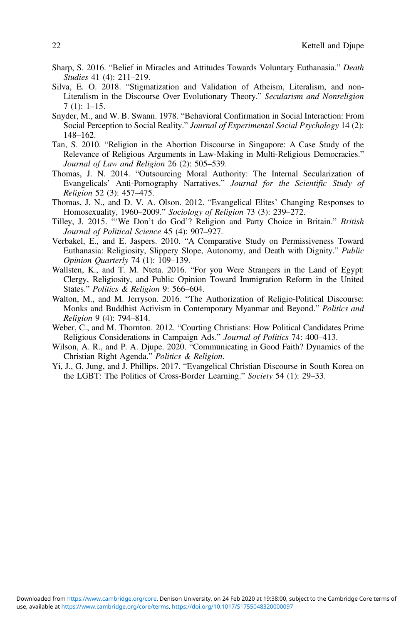- <span id="page-21-0"></span>Sharp, S. 2016. "Belief in Miracles and Attitudes Towards Voluntary Euthanasia." Death Studies 41 (4): 211–219.
- Silva, E. O. 2018. "Stigmatization and Validation of Atheism, Literalism, and non-Literalism in the Discourse Over Evolutionary Theory." Secularism and Nonreligion 7 (1): 1–15.
- Snyder, M., and W. B. Swann. 1978. "Behavioral Confirmation in Social Interaction: From Social Perception to Social Reality." Journal of Experimental Social Psychology 14 (2): 148–162.
- Tan, S. 2010. "Religion in the Abortion Discourse in Singapore: A Case Study of the Relevance of Religious Arguments in Law-Making in Multi-Religious Democracies." Journal of Law and Religion 26 (2): 505–539.
- Thomas, J. N. 2014. "Outsourcing Moral Authority: The Internal Secularization of Evangelicals' Anti-Pornography Narratives." Journal for the Scientific Study of Religion 52 (3): 457–475.
- Thomas, J. N., and D. V. A. Olson. 2012. "Evangelical Elites' Changing Responses to Homosexuality, 1960–2009." Sociology of Religion 73 (3): 239–272.
- Tilley, J. 2015. "'We Don't do God'? Religion and Party Choice in Britain." British Journal of Political Science 45 (4): 907–927.
- Verbakel, E., and E. Jaspers. 2010. "A Comparative Study on Permissiveness Toward Euthanasia: Religiosity, Slippery Slope, Autonomy, and Death with Dignity." Public Opinion Quarterly 74 (1): 109–139.
- Wallsten, K., and T. M. Nteta. 2016. "For you Were Strangers in the Land of Egypt: Clergy, Religiosity, and Public Opinion Toward Immigration Reform in the United States." Politics & Religion 9: 566-604.
- Walton, M., and M. Jerryson. 2016. "The Authorization of Religio-Political Discourse: Monks and Buddhist Activism in Contemporary Myanmar and Beyond." Politics and Religion 9 (4): 794–814.
- Weber, C., and M. Thornton. 2012. "Courting Christians: How Political Candidates Prime Religious Considerations in Campaign Ads." Journal of Politics 74: 400–413.
- Wilson, A. R., and P. A. Djupe. 2020. "Communicating in Good Faith? Dynamics of the Christian Right Agenda." Politics & Religion.
- Yi, J., G. Jung, and J. Phillips. 2017. "Evangelical Christian Discourse in South Korea on the LGBT: The Politics of Cross-Border Learning." Society 54 (1): 29–33.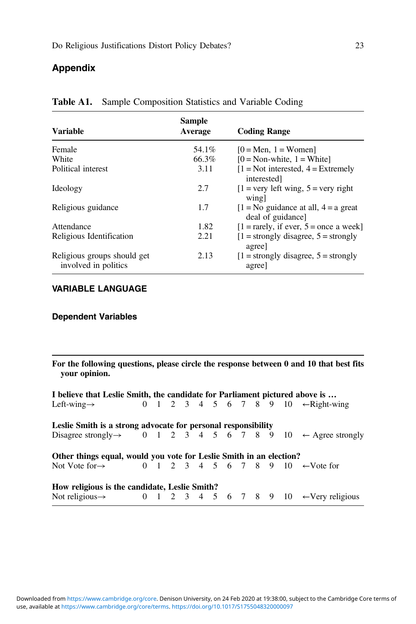# <span id="page-22-0"></span>Appendix

| <b>Variable</b>                                     | <b>Sample</b><br>Average | <b>Coding Range</b>                                            |
|-----------------------------------------------------|--------------------------|----------------------------------------------------------------|
| Female                                              | 54.1%                    | $[0 = \text{Men}, 1 = \text{Women}]$                           |
| White                                               | 66.3%                    | $[0 = \text{Non-white}, 1 = \text{White}]$                     |
| Political interest                                  | 3.11                     | $1 = Not$ interested, $4 = Extract$<br>interested]             |
| Ideology                                            | 2.7                      | $1 = \text{very left wing}, 5 = \text{very right}$<br>wing     |
| Religious guidance                                  | 1.7                      | $[1 = No$ guidance at all, $4 = a$ great<br>deal of guidance]  |
| Attendance                                          | 1.82                     | $[1 = \text{rarely}, \text{ if ever}, 5 = \text{once a week}]$ |
| Religious Identification                            | 2.21                     | $1 =$ strongly disagree, $5 =$ strongly<br>agree               |
| Religious groups should get<br>involved in politics | 2.13                     | $1 =$ strongly disagree, $5 =$ strongly<br>agree               |

Table A1. Sample Composition Statistics and Variable Coding

#### VARIABLE LANGUAGE

#### Dependent Variables

For the following questions, please circle the response between 0 and 10 that best fits your opinion.

| I believe that Leslie Smith, the candidate for Parliament pictured above is        |  |  |  |  |  |  |  |  |                                                |
|------------------------------------------------------------------------------------|--|--|--|--|--|--|--|--|------------------------------------------------|
| Left-wing $\rightarrow$                                                            |  |  |  |  |  |  |  |  | 0 1 2 3 4 5 6 7 8 9 10 $\leftarrow$ Right-wing |
| Leslie Smith is a strong advocate for personal responsibility                      |  |  |  |  |  |  |  |  |                                                |
| Disagree strongly $\rightarrow$ 0 1 2 3 4 5 6 7 8 9 10 $\leftarrow$ Agree strongly |  |  |  |  |  |  |  |  |                                                |
| Other things equal, would you vote for Leslie Smith in an election?                |  |  |  |  |  |  |  |  |                                                |
| Not Vote for $\rightarrow$ 0 1 2 3 4 5 6 7 8 9 10 $\leftarrow$ Vote for            |  |  |  |  |  |  |  |  |                                                |
| How religious is the candidate, Leslie Smith?                                      |  |  |  |  |  |  |  |  |                                                |
| Not religious $\rightarrow$ 0 1 2 3 4 5 6 7 8 9 10 $\leftarrow$ Very religious     |  |  |  |  |  |  |  |  |                                                |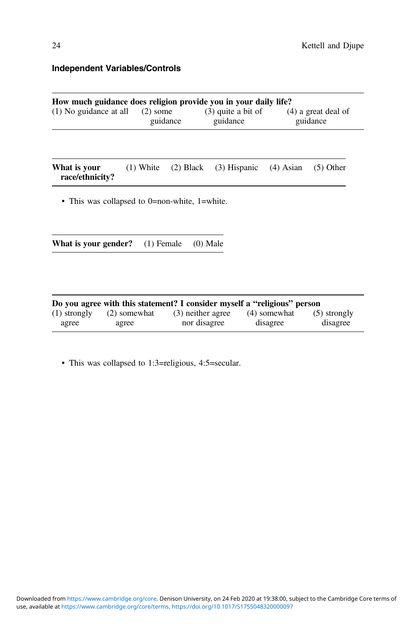## Independent Variables/Controls

| How much guidance does religion provide you in your daily life?<br>$(1)$ No guidance at all | $(2)$ some<br>guidance | $(3)$ quite a bit of<br>guidance       | $(4)$ a great deal of<br>guidance |             |  |
|---------------------------------------------------------------------------------------------|------------------------|----------------------------------------|-----------------------------------|-------------|--|
| What is your<br>race/ethnicity?                                                             |                        | $(1)$ White $(2)$ Black $(3)$ Hispanic | $(4)$ Asian                       | $(5)$ Other |  |
| • This was collapsed to 0=non-white, 1=white.                                               |                        |                                        |                                   |             |  |

What is your gender? (1) Female (0) Male

| Do you agree with this statement? I consider myself a "religious" person |              |                   |                |                |  |  |  |
|--------------------------------------------------------------------------|--------------|-------------------|----------------|----------------|--|--|--|
| $(1)$ strongly                                                           | (2) somewhat | (3) neither agree | $(4)$ somewhat | $(5)$ strongly |  |  |  |
| agree                                                                    | agree        | nor disagree      | disagree       | disagree       |  |  |  |

• This was collapsed to 1:3=religious, 4:5=secular.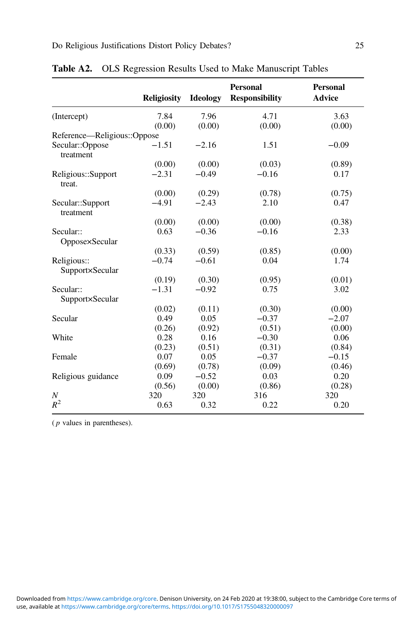|                                | <b>Religiosity</b> | Ideology       | <b>Personal</b><br><b>Responsibility</b> | <b>Personal</b><br><b>Advice</b> |
|--------------------------------|--------------------|----------------|------------------------------------------|----------------------------------|
| (Intercept)                    | 7.84<br>(0.00)     | 7.96<br>(0.00) | 4.71<br>(0.00)                           | 3.63<br>(0.00)                   |
| Reference—Religious::Oppose    |                    |                |                                          |                                  |
| Secular::Oppose<br>treatment   | $-1.51$            | $-2.16$        | 1.51                                     | $-0.09$                          |
|                                | (0.00)             | (0.00)         | (0.03)                                   | (0.89)                           |
| Religious::Support<br>treat.   | $-2.31$            | $-0.49$        | $-0.16$                                  | 0.17                             |
|                                | (0.00)             | (0.29)         | (0.78)                                   | (0.75)                           |
| Secular::Support<br>treatment  | $-4.91$            | $-2.43$        | 2.10                                     | 0.47                             |
|                                | (0.00)             | (0.00)         | (0.00)                                   | (0.38)                           |
| Secular::<br>Oppose×Secular    | 0.63               | $-0.36$        | $-0.16$                                  | 2.33                             |
|                                | (0.33)             | (0.59)         | (0.85)                                   | (0.00)                           |
| Religious::<br>Support×Secular | $-0.74$            | $-0.61$        | 0.04                                     | 1.74                             |
|                                | (0.19)             | (0.30)         | (0.95)                                   | (0.01)                           |
| Secular:<br>Support×Secular    | $-1.31$            | $-0.92$        | 0.75                                     | 3.02                             |
|                                | (0.02)             | (0.11)         | (0.30)                                   | (0.00)                           |
| Secular                        | 0.49               | 0.05           | $-0.37$                                  | $-2.07$                          |
|                                | (0.26)             | (0.92)         | (0.51)                                   | (0.00)                           |
| White                          | 0.28               | 0.16           | $-0.30$                                  | 0.06                             |
|                                | (0.23)             | (0.51)         | (0.31)                                   | (0.84)                           |
| Female                         | 0.07               | 0.05           | $-0.37$                                  | $-0.15$                          |
|                                | (0.69)             | (0.78)         | (0.09)                                   | (0.46)                           |
| Religious guidance             | 0.09               | $-0.52$        | 0.03                                     | 0.20                             |
|                                | (0.56)             | (0.00)         | (0.86)                                   | (0.28)                           |
| $\boldsymbol{N}$               | 320                | 320            | 316                                      | 320                              |
| $R^2$                          | 0.63               | 0.32           | 0.22                                     | 0.20                             |

### <span id="page-24-0"></span>Table A2. OLS Regression Results Used to Make Manuscript Tables

 $(p$  values in parentheses).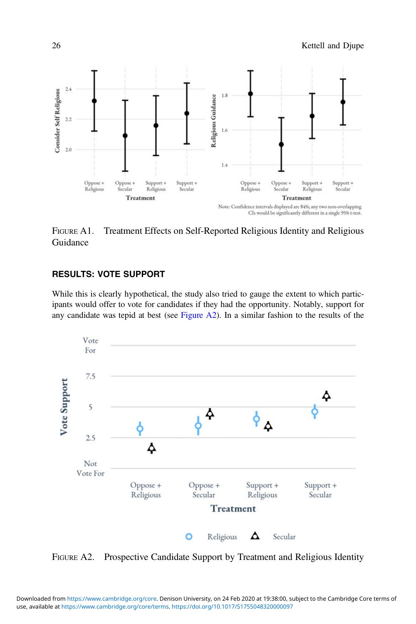<span id="page-25-0"></span>

FIGURE A1. Treatment Effects on Self-Reported Religious Identity and Religious Guidance

#### RESULTS: VOTE SUPPORT

While this is clearly hypothetical, the study also tried to gauge the extent to which participants would offer to vote for candidates if they had the opportunity. Notably, support for any candidate was tepid at best (see Figure A2). In a similar fashion to the results of the



FIGURE A2. Prospective Candidate Support by Treatment and Religious Identity